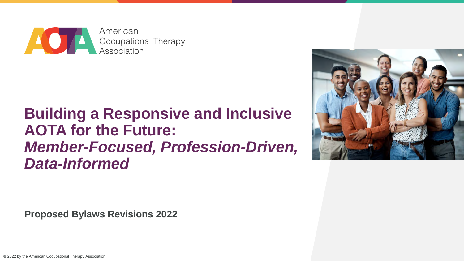

#### **Building a Responsive and Inclusive AOTA for the Future:** *Member-Focused, Profession-Driven, Data-Informed*



**Proposed Bylaws Revisions 2022**

© 2022 by the American Occupational Therapy Association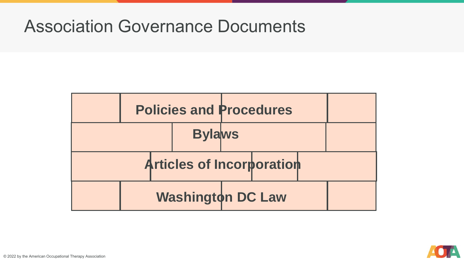#### Association Governance Documents



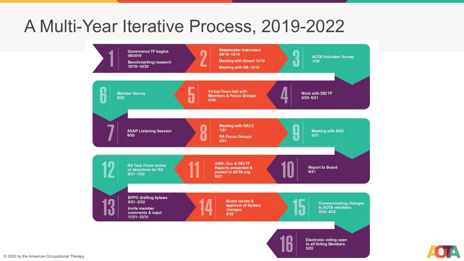#### A Multi-Year Iterative Process, 2019-2022



© 2022 by the American Occupational Therapy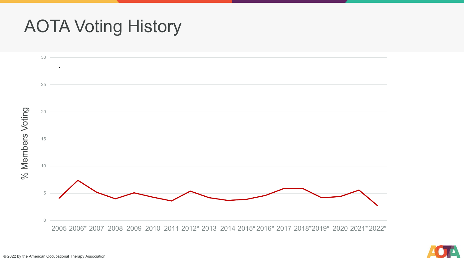#### AOTA Voting History



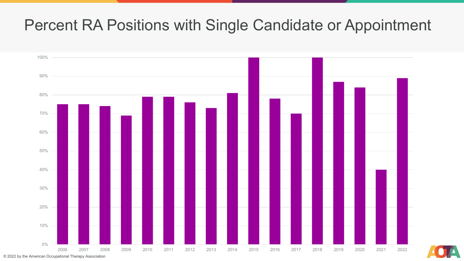#### Percent RA Positions with Single Candidate or Appointment





© 2022 by the American Occupational Therapy Association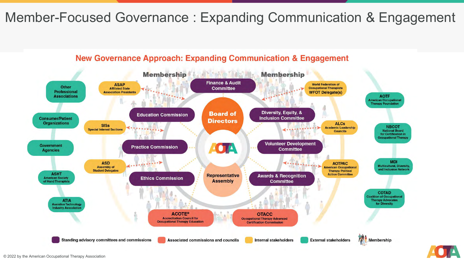#### Member-Focused Governance : Expanding Communication & Engagement

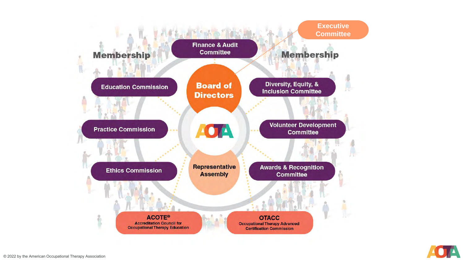

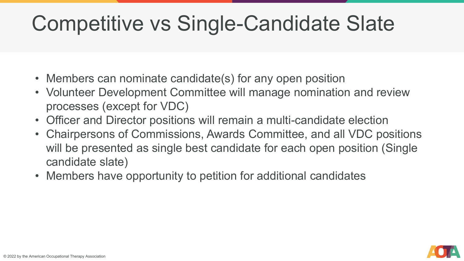## Competitive vs Single-Candidate Slate

- Members can nominate candidate(s) for any open position
- Volunteer Development Committee will manage nomination and review processes (except for VDC)
- Officer and Director positions will remain a multi-candidate election
- Chairpersons of Commissions, Awards Committee, and all VDC positions will be presented as single best candidate for each open position (Single candidate slate)
- Members have opportunity to petition for additional candidates

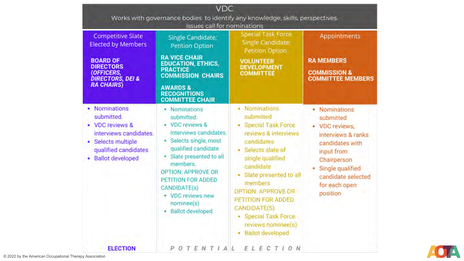| <b>VDC</b><br>Works with governance bodies to identify any knowledge, skills, perspectives.                                                                          |                                                                                                                                                                                                                                                                                                      |                                                                                                                                                                                                                                                                                                                                            |                                                                                                                                                                                           |
|----------------------------------------------------------------------------------------------------------------------------------------------------------------------|------------------------------------------------------------------------------------------------------------------------------------------------------------------------------------------------------------------------------------------------------------------------------------------------------|--------------------------------------------------------------------------------------------------------------------------------------------------------------------------------------------------------------------------------------------------------------------------------------------------------------------------------------------|-------------------------------------------------------------------------------------------------------------------------------------------------------------------------------------------|
| <b>Competitive Slate</b><br><b>Elected by Members</b><br><b>BOARD OF</b><br><b>DIRECTORS</b><br><b>OFFICERS,</b><br><b>DIRECTORS, DEI &amp;</b><br><b>RA CHAIRS)</b> | Issues call for nominations<br>Single Candidate;<br><b>Petition Option</b><br><b>RA VICE CHAIR</b><br><b>EDUCATION, ETHICS,</b><br><b>PRACTICE</b><br><b>COMMISSION CHAIRS</b><br><b>AWARDS &amp;</b><br><b>RECOGNITIONS</b><br><b>COMMITTEE CHAIR</b>                                               | <b>Special Task Force</b><br>Single Candidate;<br>Petition Option<br><b>VOLUNTEER</b><br><b>DEVELOPMENT</b><br><b>COMMITTEE</b>                                                                                                                                                                                                            | Appointments<br><b>RA MEMBERS</b><br><b>COMMISSION &amp;</b><br><b>COMMITTEE MEMBERS</b>                                                                                                  |
| Nominations<br>submitted.<br><b>VDC</b> reviews &<br>۰<br>interviews candidates.<br>Selects multiple<br>٠<br>qualified candidates<br><b>Ballot developed</b>         | • Nominations<br>submitted.<br>• VDC reviews &<br>interviews candidates.<br>· Selects single, most<br>qualified candidate<br>· Slate presented to all<br>members.<br><b>OPTION: APPROVE OR</b><br>PETITION FOR ADDED<br><b>CANDIDATE(s)</b><br>• VDC reviews new<br>nominee(s)<br>· Ballot developed | Nominations<br>٠<br>submitted<br>• Special Task Force<br>reviews & interviews<br>candidates<br>· Selects slate of<br>single qualified<br>candidate<br>Slate presented to all<br>members<br><b>OPTION: APPROVE OR</b><br>PETITION FOR ADDED<br><b>CANDIDATE(S)</b><br>• Special Task Force<br>reviews nominee(s)<br><b>Ballot developed</b> | • Nominations<br>submitted<br>· VDC reviews,<br>interviews & ranks<br>candidates with<br>input from<br>Chairperson<br>Single qualified<br>candidate selected<br>for each open<br>position |
| <b>ELECTION</b>                                                                                                                                                      | OTENTIAL<br>P                                                                                                                                                                                                                                                                                        | O N<br>ELECT                                                                                                                                                                                                                                                                                                                               |                                                                                                                                                                                           |

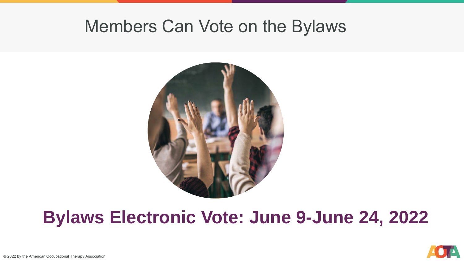#### Members Can Vote on the Bylaws



### **Bylaws Electronic Vote: June 9-June 24, 2022**

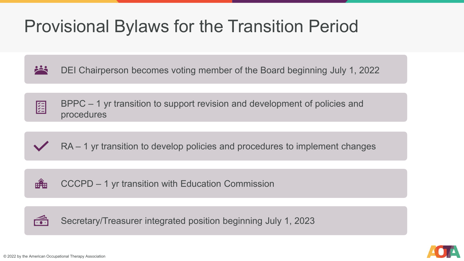### Provisional Bylaws for the Transition Period

**PART** DEI Chairperson becomes voting member of the Board beginning July 1, 2022

BPPC – 1 yr transition to support revision and development of policies and 组 procedures

#### RA – 1 yr transition to develop policies and procedures to implement changes

**HAH** CCCPD – 1 yr transition with Education Commission

 $\widehat{\mathbb{E}}$ Secretary/Treasurer integrated position beginning July 1, 2023

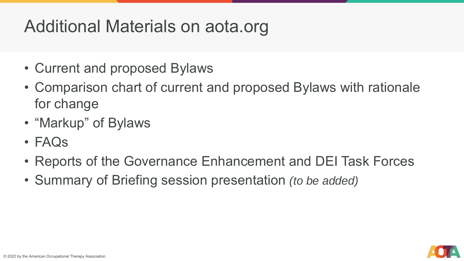### Additional Materials on aota.org

- Current and proposed Bylaws
- Comparison chart of current and proposed Bylaws with rationale for change
- "Markup" of Bylaws
- FAQs
- Reports of the Governance Enhancement and DEI Task Forces
- Summary of Briefing session presentation *(to be added)*